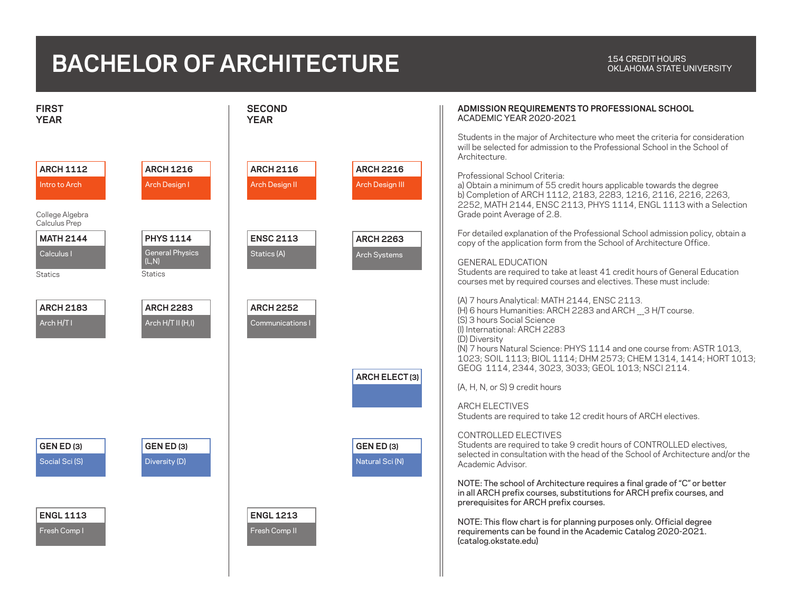## **BACHELOR OF ARCHITECTURE**

## OKLAHOMA STATE UNIVERSITY

| <b>FIRST</b><br><b>YEAR</b>                                                                                               | <b>SECOND</b><br><b>YEAR</b>                                                     | ADMISSION REQUIREMENTS TO PROFESSIONAL SCHOOL<br><b>ACADEMIC YEAR 2020-2021</b>                                                                                                                                                                                                                                                                                                                                                                                                                                              |
|---------------------------------------------------------------------------------------------------------------------------|----------------------------------------------------------------------------------|------------------------------------------------------------------------------------------------------------------------------------------------------------------------------------------------------------------------------------------------------------------------------------------------------------------------------------------------------------------------------------------------------------------------------------------------------------------------------------------------------------------------------|
| <b>ARCH 1216</b><br><b>ARCH 1112</b><br>Intro to Arch<br>Arch Design I<br>College Algebra<br>Calculus Prep                | <b>ARCH 2116</b><br><b>ARCH 2216</b><br><b>Arch Design II</b><br>Arch Design III | Students in the major of Architecture who meet the criteria for consideration<br>will be selected for admission to the Professional School in the School of<br>Architecture<br>Professional School Criteria:<br>a) Obtain a minimum of 55 credit hours applicable towards the degree<br>b) Completion of ARCH 1112, 2183, 2283, 1216, 2116, 2216, 2263,<br>2252, MATH 2144, ENSC 2113, PHYS 1114, ENGL 1113 with a Selection<br>Grade point Average of 2.8.                                                                  |
| <b>MATH 2144</b><br><b>PHYS 1114</b><br><b>General Physics</b><br>Calculus I<br>(L,N)<br><b>Statics</b><br><b>Statics</b> | <b>ENSC 2113</b><br><b>ARCH 2263</b><br>Statics (A)<br>Arch Systems              | For detailed explanation of the Professional School admission policy, obtain a<br>copy of the application form from the School of Architecture Office.<br><b>GENERAL EDUCATION</b><br>Students are required to take at least 41 credit hours of General Education<br>courses met by required courses and electives. These must include:                                                                                                                                                                                      |
| <b>ARCH 2183</b><br><b>ARCH 2283</b><br>Arch H/T I<br>Arch H/T II (H,I)                                                   | <b>ARCH 2252</b><br><b>Communications I</b><br>ARCH ELECT(3)                     | (A) 7 hours Analytical: MATH 2144, ENSC 2113.<br>(H) 6 hours Humanities: ARCH 2283 and ARCH 3 H/T course.<br>(S) 3 hours Social Science<br>(I) International: ARCH 2283<br>(D) Diversity<br>(N) 7 hours Natural Science: PHYS 1114 and one course from: ASTR 1013,<br>1023; SOIL 1113; BIOL 1114; DHM 2573; CHEM 1314, 1414; HORT 1013;<br>GEOG 1114, 2344, 3023, 3033; GEOL 1013; NSCI 2114.<br>(A, H, N, or S) 9 credit hours<br><b>ARCH ELECTIVES</b><br>Students are required to take 12 credit hours of ARCH electives. |
| <b>GEN ED (3)</b><br><b>GEN ED (3)</b><br>Social Sci (S)<br>Diversity (D)                                                 | <b>GEN ED (3)</b><br>Natural Sci (N)                                             | CONTROLLED ELECTIVES<br>Students are required to take 9 credit hours of CONTROLLED electives,<br>selected in consultation with the head of the School of Architecture and/or the<br>Academic Advisor<br>NOTE: The school of Architecture requires a final grade of "C" or better                                                                                                                                                                                                                                             |
| <b>ENGL 1113</b><br>Fresh Comp I                                                                                          | <b>ENGL 1213</b><br>Fresh Comp II                                                | in all ARCH prefix courses, substitutions for ARCH prefix courses, and<br>prerequisites for ARCH prefix courses.<br>NOTE: This flow chart is for planning purposes only. Official degree<br>requirements can be found in the Academic Catalog 2020-2021.<br>(catalog.okstate.edu)                                                                                                                                                                                                                                            |